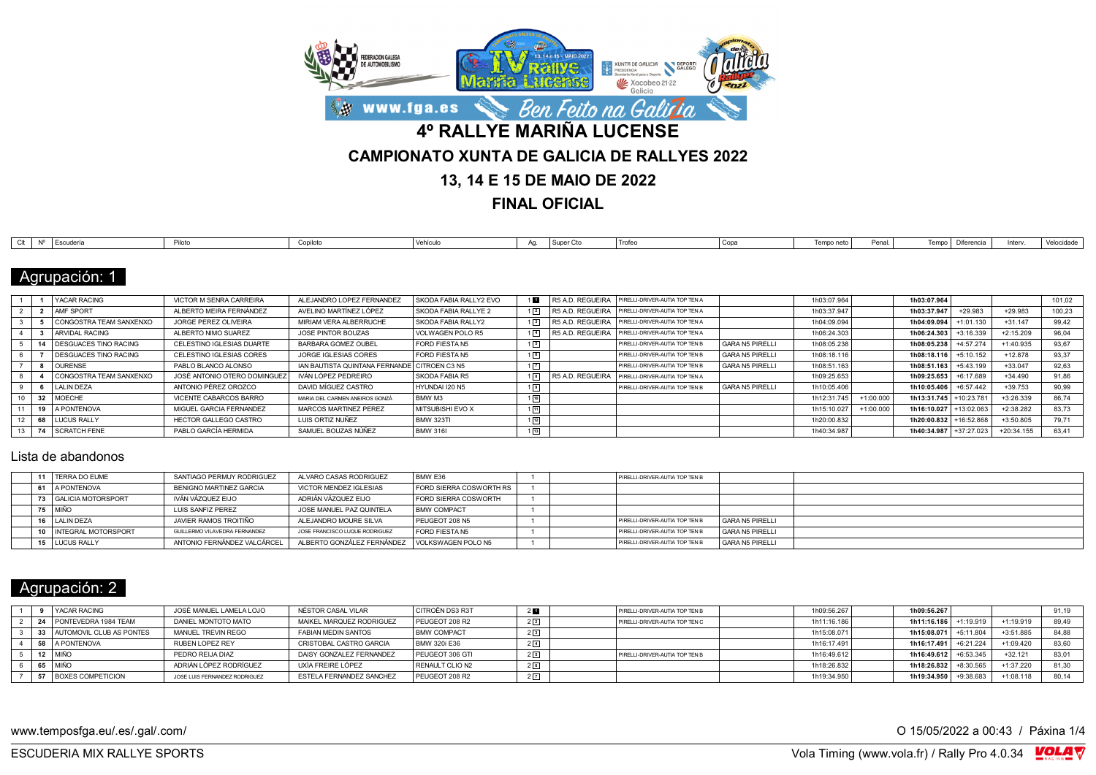

**FINAL OFICIAL**

| $\bigcap_{i=1}^{n}$ | Escudería | Piloto | milntr | $1.14 \times 10^{-1}$<br>venicu | <sup>1</sup> Super Cto | <sup>1</sup> Trofeo | Copa | Temno neto . | Penal | Tempo I Diferencia | Interv. | Velocidade |
|---------------------|-----------|--------|--------|---------------------------------|------------------------|---------------------|------|--------------|-------|--------------------|---------|------------|

### Agrupación: 1

|    | YACAR RACING                 | VICTOR M SENRA CARREIRA      | ALEJANDRO LOPEZ FERNANDEZ                    | I SKODA FABIA RALLY2 EVO | 1 <b>D</b>        | R5 A.D. REGUEIRA PIRELLI-DRIVER-AUTIA TOP TEN A |                        | 1h03:07.964 |             | 1h03:07.964            |             |             | 101,02 |
|----|------------------------------|------------------------------|----------------------------------------------|--------------------------|-------------------|-------------------------------------------------|------------------------|-------------|-------------|------------------------|-------------|-------------|--------|
|    | <b>AMF SPORT</b>             | ALBERTO MEIRA FERNÁNDEZ      | AVELINO MARTÍNEZ LÓPEZ                       | SKODA FABIA RALLYE 2     | 1 <sup>2</sup>    | R5 A.D. REGUEIRA PIRELLI-DRIVER-AUTIA TOP TEN A |                        | 1h03:37.947 |             | 1h03:37.947            | +29.983     | +29.983     | 100,23 |
|    | CONGOSTRA TEAM SANXENXO      | JORGE PEREZ OLIVEIRA         | MIRIAM VERA ALBERRUCHE                       | SKODA FABIA RALLY2       | $1\sqrt{3}$       | R5 A.D. REGUEIRA PIRELLI-DRIVER-AUTIA TOP TEN A |                        | 1h04:09.094 |             | 1h04:09.094            | 1:01.13     | $+31.147$   | 99,42  |
|    | ARVIDAL RACING               | ALBERTO NIMO SUAREZ          | JOSE PINTOR BOUZAS                           | VOLWAGEN POLO R5         | $1\sqrt{4}$       | R5 A.D. REGUEIRA PIRELLI-DRIVER-AUTIA TOP TEN A |                        | 1h06:24.303 |             | 1h06:24.303            | $+3:16.339$ | $+2:15.209$ | 96,04  |
|    | 14 I DESGUACES TINO RACING   | CELESTINO IGLESIAS DUARTE    | BARBARA GOMEZ OUBEL                          | FORD FIESTA N5           | 15                | PIRELLI-DRIVER-AUTIA TOP TEN B                  | GARA N5 PIRELLI        | 1h08:05.238 |             | 1h08:05.238            | $+4:57.274$ | $+1:40.935$ | 93.67  |
|    | <b>DESGUACES TINO RACING</b> | CELESTINO IGLESIAS CORES     | JORGE IGLESIAS CORES                         | FORD FIESTA N5           | $1\sqrt{6}$       | PIRELLI-DRIVER-AUTIA TOP TEN B                  | GARA N5 PIRELLI        | 1h08:18.116 |             | 1h08:18.116            | $+5:10.152$ | $+12.878$   | 93.37  |
|    | <b>OURENSE</b>               | PABLO BLANCO ALONSO          | IAN BAUTISTA QUINTANA FERNANDE CITROEN C3 N5 |                          | $1\sqrt{7}$       | PIRELLI-DRIVER-AUTIA TOP TEN B                  | <b>GARA N5 PIRELLI</b> | 1h08:51.163 |             | 1h08:51.163            | $+5:43.199$ | $+33.047$   | 92.63  |
|    | CONGOSTRA TEAM SANXENXO      | JOSÉ ANTONIO OTERO DOMINGUEZ | IVÁN LÓPEZ PEDREIRO                          | SKODA FABIA R5           | $1\sqrt{8}$       | R5 A.D. REGUEIRA PIRELLI-DRIVER-AUTIA TOP TEN A |                        | 1h09:25.653 |             | 1h09:25.653            | $+6:17.689$ | $+34.490$   | 91.86  |
|    | LALIN DEZA                   | ANTONIO PÉREZ OROZCO         | DAVID MÍGUEZ CASTRO                          | HYUNDAI I20 N5           | $1\sqrt{9}$       | PIRELLI-DRIVER-AUTIA TOP TEN B                  | <b>GARA N5 PIRELLI</b> | 1h10:05.406 |             | 1h10:05.406            | $+6:57.442$ | $+39.753$   | 90,99  |
| 32 | MOECHE                       | VICENTE CABARCOS BARRO       | MARIA DEL CARMEN ANEIROS GONZÁ               | BMW M3                   | $1\sqrt{10}$      |                                                 |                        | 1h12:31.745 | $+1:00.000$ | 1h13:31.745            | $+10:23.78$ | $+3:26.339$ | 86.74  |
| 19 | <b>A PONTENOVA</b>           | MIGUEL GARCIA FERNANDEZ      | MARCOS MARTINEZ PEREZ                        | MITSUBISHI EVO X         | 111               |                                                 |                        | 1h15:10.027 | $+1:00.000$ | 1h16:10.027 +13:02.063 |             | $+2:38.282$ | 83.73  |
|    | <b>LUCUS RALLY</b>           | HECTOR GALLEGO CASTRO        | LUIS ORTIZ NUÑEZ                             | <b>BMW 323TI</b>         | $1\sqrt{12}$      |                                                 |                        | 1h20:00.832 |             | 1h20:00.832 +16:52.868 |             | $+3:50.805$ | 79.71  |
|    | 74 SCRATCH FENE              | PABLO GARCÍA HERMIDA         | SAMUEL BOUZAS NÚÑEZ                          | <b>BMW 316L</b>          | $1 \overline{13}$ |                                                 |                        | 1h40:34.987 |             | 1h40:34.987 +37:27.023 |             | +20:34.155  | 63.41  |

#### Lista de abandonos

|  | 11   TERRA DO EUME      | SANTIAGO PERMUY RODRIGUEZ     | ALVARO CASAS RODRIGUEZ                          | BMW E36                        |  | PIRELLI-DRIVER-AUTIA TOP TEN B |                   |  |
|--|-------------------------|-------------------------------|-------------------------------------------------|--------------------------------|--|--------------------------------|-------------------|--|
|  | 61 A PONTENOVA          | BENIGNO MARTINEZ GARCIA       | VICTOR MENDEZ IGLESIAS                          | <b>FORD SIERRA COSWORTH RS</b> |  |                                |                   |  |
|  | 73   GALICIA MOTORSPORT | IVÁN VÁZQUEZ EIJO             | ADRIÁN VÁZQUEZ EIJO                             | FORD SIERRA COSWORTH           |  |                                |                   |  |
|  | 75   MIÑO               | LUIS SANFIZ PEREZ             | JOSE MANUEL PAZ QUINTELA                        | <b>BMW COMPACT</b>             |  |                                |                   |  |
|  | 16   LALIN DEZA         | JAVIER RAMOS TROITIÑO         | ALEJANDRO MOURE SILVA                           | PEUGEOT 208 N5                 |  | PIRELLI-DRIVER-AUTIA TOP TEN B | GARA N5 PIRELLI   |  |
|  | 10 INTEGRAL MOTORSPORT  | GUILLERMO VILAVEDRA FERNANDEZ | JOSE FRANCISCO LUQUE RODRIGUEZ                  | FORD FIESTA N5                 |  | PIRELLI-DRIVER-AUTIA TOP TEN B | GARA N5 PIRELLI   |  |
|  | 15   LUCUS RALLY        | ANTONIO FERNÁNDEZ VALCÁRCEL   | ALBERTO GONZÁLEZ FERNÁNDEZ   VOLKSWAGEN POLO N5 |                                |  | PIRELLI-DRIVER-AUTIA TOP TEN B | l GARA N5 PIRELLI |  |

## Agrupación: 2

|  | <b>YACAR RACING</b>         | JOSÉ MANUEL LAMELA LOJO       | NÉSTOR CASAL VILAR         | I CITROËN DS3 R3T  | 2 <sub>1</sub> | PIRELLI-DRIVER-AUTIA TOP TEN B | 1h09:56.267 | 1h09:56.267             |             |             | 91.19 |
|--|-----------------------------|-------------------------------|----------------------------|--------------------|----------------|--------------------------------|-------------|-------------------------|-------------|-------------|-------|
|  | 24 PONTEVEDRA 1984 TEAM     | DANIEL MONTOTO MATO           | MAIKEL MARQUEZ RODRIGUEZ   | PEUGEOT 208 R2     | $2\sqrt{2}$    | PIRELLI-DRIVER-AUTIA TOP TEN C | 1h11:16.186 | 1h11:16.186 +1:19.919   |             | $+1:19.919$ | 89.49 |
|  | 33 AUTOMOVIL CLUB AS PONTES | MANUEL TREVIN REGO            | <b>FABIAN MEDIN SANTOS</b> | <b>BMW COMPACT</b> | 2 <sup>3</sup> |                                | 1h15:08.071 | 1h15:08.071             | $+5:11.80$  | $+3:51.885$ | 84.88 |
|  | 58 A PONTENOVA              | RUBEN LOPEZ REY               | CRISTOBAL CASTRO GARCIA    | BMW 320i E36       | $2\sqrt{4}$    |                                | 1h16:17.491 | 1h16:17.491 +6:21.224   |             | +1:09.420   | 83,60 |
|  | 12 MIÑO                     | PEDRO REIJA DIAZ              | DAISY GONZALEZ FERNANDEZ   | PEUGEOT 306 GTI    | 25             | PIRELLI-DRIVER-AUTIA TOP TEN B | 1h16:49.612 | $1h16:49.612$ +6:53.345 |             | $+32.121$   | 83,01 |
|  | 65 MIÑO                     | ADRIÁN LÓPEZ RODRÍGUEZ        | UXÍA FREIRE LÓPEZ          | RENAULT CLION2     | 2 <sup>6</sup> |                                | 1h18:26.832 | 1h18:26.832             | $+8:30.565$ | $+1:37.220$ | 81.30 |
|  | 57 BOXES COMPETICION        | JOSE LUIS FERNANDEZ RODRIGUEZ | ESTELA FERNANDEZ SANCHEZ   | PEUGEOT 208 R2     | 2 <sup>7</sup> |                                | 1h19:34.950 | 1h19:34.950             | +9:38.683   | $+1:08.118$ | 80.14 |

www.temposfga.eu/.es/.gal/.com/ **O 15/05/2022** a 00:43 / Páxina 1/4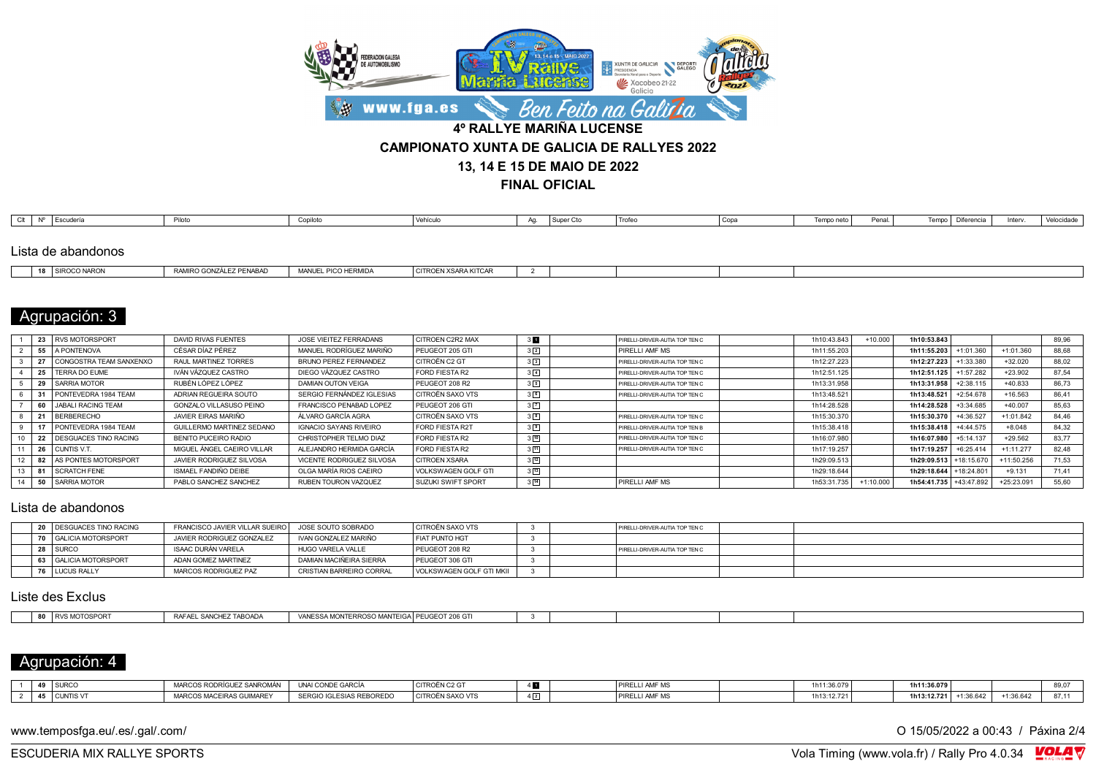

**FINAL OFICIAL**

| Clt | $\mathsf{N}^{\mathsf{D}}$ | Escudería          | Piloto | Copiloto | Vehículo | $\Delta$ | Super Cto | <b>I</b> Trofe⊍ | Copa | Temno neto | Penal. | Tomas | Diferencia | Interv | Velocidade |
|-----|---------------------------|--------------------|--------|----------|----------|----------|-----------|-----------------|------|------------|--------|-------|------------|--------|------------|
|     |                           |                    |        |          |          |          |           |                 |      |            |        |       |            |        |            |
|     |                           | Lista de abandonos |        |          |          |          |           |                 |      |            |        |       |            |        |            |

| $\overline{a}$ | $10000 \text{ NMP}$ | DEMADA<br>RAMIRO GONZÁLET<br>᠁ | <b>ERMIDA</b><br><b>MANII</b> | N XSARA KITCAR∟<br>CITRO |  |  |  |
|----------------|---------------------|--------------------------------|-------------------------------|--------------------------|--|--|--|
|                |                     |                                |                               |                          |  |  |  |

# Agrupación: 3

|    | 23 RVS MOTORSPORT        | DAVID RIVAS FUENTES              | JOSE VIEITEZ FERRADANS        | CITROEN C2R2 MAX          | 3 <sub>1</sub>     | PIRELLI-DRIVER-AUTIA TOP TEN C | 1h10:43.843 | $+10.000$   | 1h10:53.843            |             |              | 89.96 |
|----|--------------------------|----------------------------------|-------------------------------|---------------------------|--------------------|--------------------------------|-------------|-------------|------------------------|-------------|--------------|-------|
|    | 55 A PONTENOVA           | CÉSAR DÍAZ PÉREZ                 | MANUEL RODRÍGUEZ MARIÑO       | PEUGEOT 205 GTI           | $3\sqrt{2}$        | PIRELLI AMF MS                 | 1h11:55.203 |             | 1h11:55.203            | +1:01.360   | $+1:01.360$  | 88.68 |
|    | CONGOSTRA TEAM SANXENXO  | RAUL MARTINEZ TORRES             | BRUNO PEREZ FERNANDEZ         | CITROËN C2 GT             | $3\sqrt{3}$        | PIRELLI-DRIVER-AUTIA TOP TEN C | 1h12:27.223 |             | 1h12:27.223            | 1:33.380    | $+32.020$    | 88.02 |
|    | 25   TERRA DO FUME       | IVÁN VÁZQUEZ CASTRO              | DIEGO VÁZQUEZ CASTRO          | FORD FIESTA R2            | $3\sqrt{4}$        | PIRELLI-DRIVER-AUTIA TOP TEN C | 1h12:51.125 |             | 1h12:51.125            | $+1:57.282$ | $+23.902$    | 87.54 |
|    | 29 SARRIA MOTOR          | RUBÉN LÓPEZ LÓPEZ                | <b>DAMIAN OUTON VEIGA</b>     | PEUGEOT 208 R2            | 3 <sup>5</sup>     | PIRELLI-DRIVER-AUTIA TOP TEN C | 1h13:31.958 |             | 1h13:31.958            | $+2:38.115$ | $+40.833$    | 86.73 |
|    | PONTEVEDRA 1984 TEAM     | ADRIAN REGUEIRA SOUTO            | SERGIO FERNÁNDEZ IGLESIAS     | <b>CITROËN SAXO VTS</b>   | 3 <sup>6</sup>     | PIRELLI-DRIVER-AUTIA TOP TEN C | 1h13:48.521 |             | 1h13:48.521            | $+2:54.678$ | $+16.563$    | 86.41 |
|    | 60 JJABALI RACING TEAM   | <b>GONZALO VILLASUSO PEINO</b>   | FRANCISCO PENABAD LOPEZ       | PEUGEOT 206 GTI           | $3\sqrt{7}$        |                                | 1h14:28.528 |             | 1h14:28.528            | +3:34.685   | $+40.007$    | 85.63 |
|    | <b>BERBERECHO</b>        | JAVIER FIRAS MARIÑO              | ÁLVARO GARCÍA AGRA            | <b>CITROËN SAXO VTS</b>   | 3 8                | PIRELLI-DRIVER-AUTIA TOP TEN C | 1h15:30.370 |             | 1h15:30.370            | $+4:36.527$ | $+1:01.842$  | 84.46 |
|    | PONTEVEDRA 1984 TEAM     | <b>GUILLERMO MARTINEZ SEDANO</b> | <b>IGNACIO SAYANS RIVEIRO</b> | <b>FORD FIESTA R2T</b>    | 3 <sup>5</sup>     | PIRELLI-DRIVER-AUTIA TOP TEN B | 1h15:38.418 |             | 1h15:38.418            | $+4:44.575$ | $+8.048$     | 84.32 |
|    | 22 DESGUACES TINO RACING | BENITO PUCEIRO RADIO             | CHRISTOPHER TELMO DIAZ        | FORD FIESTA R2            | $3\sqrt{10}$       | PIRELLI-DRIVER-AUTIA TOP TEN C | 1h16:07.980 |             | 1h16:07.980            | $+5:14.137$ | $+29.562$    | 83.77 |
| 11 | 26 CUNTIS V.T.           | MIGUEL ÁNGEL CAEIRO VILLAR       | ALEJANDRO HERMIDA GARCÍA      | FORD FIESTA R2            | 3回                 | PIRELLI-DRIVER-AUTIA TOP TEN C | 1h17:19.257 |             | 1h17:19.257            | $+6:25.414$ | $+1:11.277$  | 82.48 |
|    | 82 AS PONTES MOTORSPORT  | JAVIER RODRIGUEZ SILVOSA         | VICENTE RODRIGUEZ SILVOSA     | <b>CITROEN XSARA</b>      | $3\sqrt{12}$       |                                | 1h29:09.513 |             | 1h29:09.513            | $+18:15.67$ | $+11:50.256$ | 71.53 |
|    | <b>SCRATCH FENE</b>      | ISMAEL FANDIÑO DEIBE             | OLGA MARÍA RIOS CAEIRO        | VOLKSWAGEN GOLF GTI       | $3 \vert 13 \vert$ |                                | 1h29:18.644 |             | 1h29:18.644            | +18:24.801  | $+9.131$     | 71.41 |
| 14 | 50 SARRIA MOTOR          | PABLO SANCHEZ SANCHEZ            | RUBEN TOURON VAZQUEZ          | <b>SUZUKI SWIFT SPORT</b> | $3\sqrt{14}$       | <b>PIRELLI AMF MS</b>          | 1h53:31.735 | $+1:10.000$ | 1h54:41.735 +43:47.892 |             | +25:23.091   | 55.60 |
|    |                          |                                  |                               |                           |                    |                                |             |             |                        |             |              |       |

#### Lista de abandonos

|  | 20 DESGUACES TINO RACING | FRANCISCO JAVIER VILLAR SUEIRO | JOSE SOUTO SOBRADO       | I CITROËN SAXO VTS       |  | PIRELLI-DRIVER-AUTIA TOP TEN C        |  |
|--|--------------------------|--------------------------------|--------------------------|--------------------------|--|---------------------------------------|--|
|  | 70 GALICIA MOTORSPORT    | JAVIER RODRIGUEZ GONZALEZ      | IVAN GONZALEZ MARIÑO     | <b>FIAT PUNTO HGT</b>    |  |                                       |  |
|  | 28 SURCO                 | ISAAC DURÁN VARELA             | HUGO VARELA VALLE        | PEUGEOT 208 R2           |  | <b>PIRELLI-DRIVER-AUTIA TOP TEN C</b> |  |
|  | 63 GALICIA MOTORSPORT    | ADAN GOMEZ MARTINEZ            | DAMIAN MACIÑEIRA SIERRA  | PEUGEOT 306 GTI          |  |                                       |  |
|  | 76 LUCUS RALLY           | MARCOS RODRIGUEZ PAZ           | CRISTIAN BARREIRO CORRAL | VOLKSWAGEN GOLF GTI MKII |  |                                       |  |

### Liste des Exclus

| 80<br><b>I PEUGEOT 206 GTI</b><br><b>S MOTOSPOR</b><br>RAFAFI SANCHEZ TABOADA<br>$\sim$ $\sim$ $\sim$ $\sim$<br>, vANESSA MONTERRE<br>$\cap$ $\cap$ MANITE $\mathsf{R}_{\mathsf{max}}$<br>$1\overline{D}$<br>(INIFRR(ISC)<br>$\cdot$ , was in Filter. |           |  |  |  |  |  |
|-------------------------------------------------------------------------------------------------------------------------------------------------------------------------------------------------------------------------------------------------------|-----------|--|--|--|--|--|
|                                                                                                                                                                                                                                                       | <u>vv</u> |  |  |  |  |  |

## Agrupación: 4

| 49 SURCC     | MARCOS RODRÍGUEZ SANROMÁN | UNAI CONDE GARCÍA        | I CITROËN C2 GT  | PIRELLI AMF MS | 1h11:36.079 i | 1h11:36.079 |             |           | 0 <sub>0</sub><br>vv.v |
|--------------|---------------------------|--------------------------|------------------|----------------|---------------|-------------|-------------|-----------|------------------------|
| 45 CUNTIS VT | MARCOS MACEIRAS GUIMAREY  | SERGIO IGLESIAS REBOREDO | CITROËN SAXO VTS | cLLI AMF M.S   | 1h13:12.7211  | 1h13:12.721 | $+1:36.64'$ | +1:36.642 |                        |

www.temposfga.eu/.es/.gal/.com/ **O 15/05/2022** a 00:43 / Páxina 2/4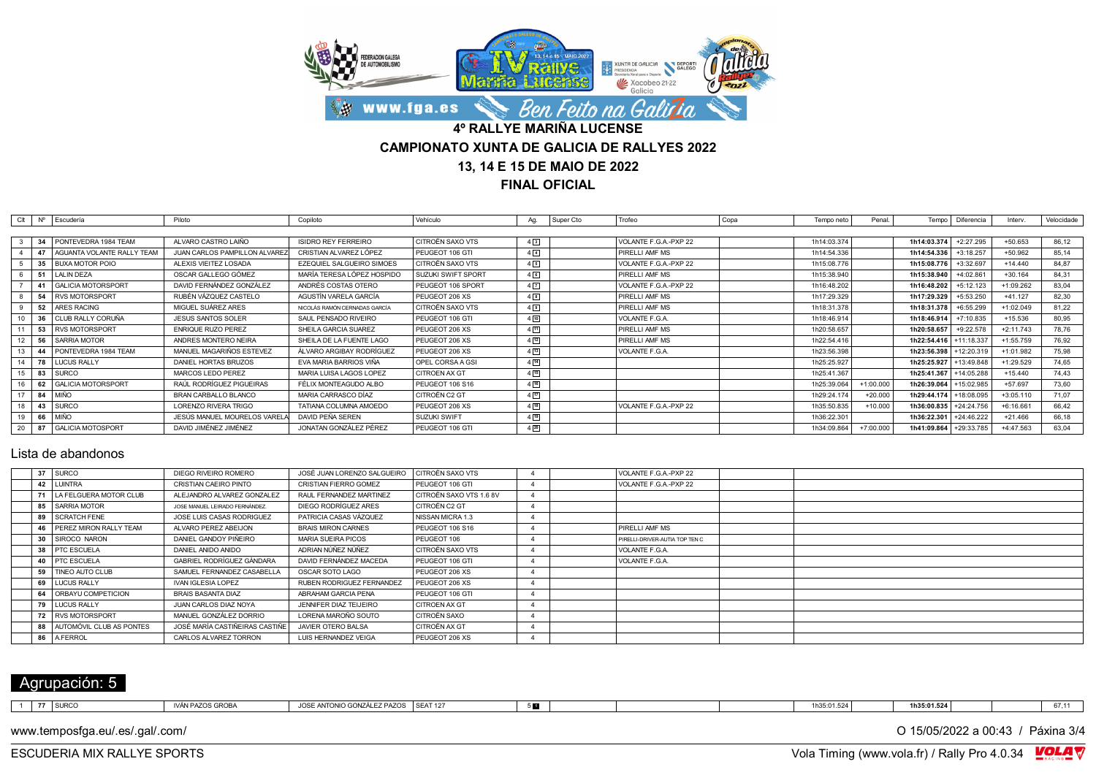

**FINAL OFICIAL**

| Clt |    | $N^{\circ}$ Escudería           | Piloto                        | Copiloto                      | Vehículo                | Ag.               | Super Cto | Trofeo                | Copa | Tempo neto  | Penal.      |                        | Tempo   Diferencia | Interv.     | Velocidade |
|-----|----|---------------------------------|-------------------------------|-------------------------------|-------------------------|-------------------|-----------|-----------------------|------|-------------|-------------|------------------------|--------------------|-------------|------------|
|     |    |                                 |                               |                               |                         |                   |           |                       |      |             |             |                        |                    |             |            |
|     |    | 34 PONTEVEDRA 1984 TEAM         | ALVARO CASTRO LAIÑO           | <b>ISIDRO REY FERREIRO</b>    | <b>CITROËN SAXO VTS</b> | $4\sqrt{3}$       |           | VOLANTE F.G.A.-PXP 22 |      | 1h14:03.374 |             | 1h14:03.374            | $+2:27.295$        | $+50.653$   | 86,12      |
|     |    | 47   AGUANTA VOLANTE RALLY TEAM | JUAN CARLOS PAMPILLON ALVAREZ | CRISTIAN ALVAREZ LÓPEZ        | PEUGEOT 106 GTI         | $4\sqrt{4}$       |           | PIRELLI AMF MS        |      | 1h14:54.336 |             | 1h14:54.336            | $+3:18.257$        | $+50.962$   | 85.14      |
|     |    | 35 BUXA MOTOR POIO              | ALEXIS VIEITEZ LOSADA         | EZEQUIEL SALGUEIRO SIMOES     | CITROËN SAXO VTS        | 45                |           | VOLANTE F.G.A.-PXP 22 |      | 1h15:08.776 |             | 1h15:08.776            | $+3:32.697$        | $+14.440$   | 84.87      |
|     |    | 51 LALIN DEZA                   | OSCAR GALLEGO GÓMEZ           | MARÍA TERESA LÓPEZ HOSPIDO    | I SUZUKI SWIFT SPORT    | 46                |           | PIRELLI AMF MS        |      | 1h15:38.940 |             | 1h15:38.940            | +4:02.861          | $+30.164$   | 84,31      |
|     |    | 41 GALICIA MOTORSPORT           | DAVID FERNÁNDEZ GONZÁLEZ      | ANDRÉS COSTAS OTERO           | PEUGEOT 106 SPORT       | $4\sqrt{7}$       |           | VOLANTE F.G.A.-PXP 22 |      | 1h16:48.202 |             | 1h16:48.202            | $+5:12.123$        | +1:09.262   | 83.04      |
|     |    | 54 RVS MOTORSPORT               | RUBÉN VÁZQUEZ CASTELO         | AGUSTÍN VARELA GARCÍA         | PEUGEOT 206 XS          | 45                |           | PIRELLI AMF MS        |      | 1h17:29.329 |             | 1h17:29.329            | $+5:53.250$        | $+41.127$   | 82.30      |
|     |    | 52 ARES RACING                  | MIGUEL SUÁREZ ARES            | NICOLÁS RAMÓN CERNADAS GARCÍA | I CITROËN SAXO VTS      | 49                |           | PIRELLI AMF MS        |      | 1h18:31.378 |             | 1h18:31.378            | $+6:55.299$        | $+1:02.049$ | 81.22      |
| 10  |    | 36   CLUB RALLY CORUÑA          | <b>JESUS SANTOS SOLER</b>     | SAUL PENSADO RIVEIRO          | PEUGEOT 106 GTI         | $4\sqrt{10}$      |           | VOLANTE F.G.A.        |      | 1h18:46.914 |             | 1h18:46.914            | $+7:10.835$        | $+15.536$   | 80,95      |
|     |    | 53   RVS MOTORSPORT             | <b>ENRIQUE RUZO PEREZ</b>     | SHEILA GARCIA SUAREZ          | PEUGEOT 206 XS          | 411               |           | PIRELLI AMF MS        |      | 1h20:58.657 |             | 1h20:58.657            | $+9:22.578$        | $+2:11.743$ | 78.76      |
|     |    | 56 SARRIA MOTOR                 | ANDRES MONTERO NEIRA          | SHEILA DE LA FUENTE LAGO      | PEUGEOT 206 XS          | $4\sqrt{12}$      |           | PIRELLI AMF MS        |      | 1h22:54.416 |             | 1h22:54.416            | $+11:18.337$       | $+1:55.759$ | 76.92      |
| 13  |    | 44 PONTEVEDRA 1984 TEAM         | MANUEL MAGARIÑOS ESTEVEZ      | ÁLVARO ARGIBAY RODRÍGUEZ      | PEUGEOT 206 XS          | $4\sqrt{13}$      |           | VOLANTE F.G.A.        |      | 1h23:56.398 |             | 1h23:56.398            | +12:20.319         | +1:01.982   | 75.98      |
| 14  | 78 | <b>LUCUS RALLY</b>              | DANIEL HORTAS BRUZOS          | EVA MARIA BARRIOS VIÑA        | OPEL CORSA A GSI        | $4 \overline{14}$ |           |                       |      | 1h25:25.927 |             | 1h25:25.927            | +13:49.848         | $+1:29.529$ | 74.65      |
| 15  | 83 | <b>SURCO</b>                    | MARCOS LEDO PEREZ             | MARIA LUISA LAGOS LOPEZ       | <b>CITROEN AX GT</b>    | $4\sqrt{15}$      |           |                       |      | 1h25:41.367 |             | 1h25:41.367            | +14:05.288         | $+15.440$   | 74.43      |
| 16  |    | 62   GALICIA MOTORSPORT         | RAÚL RODRÍGUEZ PIGUEIRAS      | FÉLIX MONTEAGUDO ALBO         | PEUGEOT 106 S16         | $4 \, 16$         |           |                       |      | 1h25:39.064 | $+1:00.000$ | 1h26:39.064            | +15:02.985         | $+57.697$   | 73.60      |
| 17  |    | 84   MIÑO                       | BRAN CARBALLO BLANCO          | MARIA CARRASCO DÍAZ           | CITROËN C2 GT           | $4 \overline{17}$ |           |                       |      | 1h29:24.174 | $+20.000$   | 1h29:44.174 +18:08.095 |                    | $+3:05.110$ | 71.07      |
| 18  | 43 | <b>SURCO</b>                    | LORENZO RIVERA TRIGO          | TATIANA COLUMNA AMOEDO        | PEUGEOT 206 XS          | 4[18]             |           | VOLANTE F.G.A.-PXP 22 |      | 1h35:50.835 | $+10.000$   | 1h36:00.835            | +24:24.756         | $+6:16.661$ | 66.42      |
| 19  |    | 66 MIÑO                         | JESÚS MANUEL MOURELOS VAREL   | DAVID PEÑA SEREN              | SUZUKI SWIFT            | $4 \overline{19}$ |           |                       |      | 1h36:22.301 |             | 1h36:22.301            | +24:46.222         | $+21.466$   | 66.18      |
| 20  |    | GALICIA MOTOSPORT               | DAVID JIMÉNEZ JIMÉNEZ         | JONATAN GONZÁLEZ PÉREZ        | PEUGEOT 106 GTI         | $4\sqrt{20}$      |           |                       |      | 1h34:09.864 | $+7:00.000$ | 1h41:09.864            | +29:33.785         | $+4:47.563$ | 63.04      |

#### Lista de abandonos

|    | 37 SURCO                    | DIEGO RIVEIRO ROMERO           | JOSÉ JUAN LORENZO SALGUEIRO | CITROËN SAXO VTS        |  | VOLANTE F.G.A.-PXP 22          |  |
|----|-----------------------------|--------------------------------|-----------------------------|-------------------------|--|--------------------------------|--|
|    | 42 LUINTRA                  | CRISTIAN CAEIRO PINTO          | CRISTIAN FIERRO GOMEZ       | PEUGEOT 106 GTI         |  | VOLANTE F.G.A.-PXP 22          |  |
|    | 71   LA FELGUERA MOTOR CLUB | ALEJANDRO ALVAREZ GONZALEZ     | RAUL FERNANDEZ MARTINEZ     | CITROËN SAXO VTS 1.6 8V |  |                                |  |
|    | 85 SARRIA MOTOR             | JOSE MANUEL LEIRADO FERNÁNDEZ. | DIEGO RODRÍGUEZ ARES        | CITROËN C2 GT           |  |                                |  |
|    | 89 SCRATCH FENE             | JOSE LUIS CASAS RODRIGUEZ      | PATRICIA CASAS VÁZQUEZ      | NISSAN MICRA 1.3        |  |                                |  |
|    | 46   PEREZ MIRON RALLY TEAM | ALVARO PEREZ ABEIJON           | <b>BRAIS MIRON CARNES</b>   | PEUGEOT 106 S16         |  | PIRELLI AMF MS                 |  |
|    | 30 SIROCO NARON             | DANIEL GANDOY PIÑEIRO          | MARIA SUEIRA PICOS          | PEUGEOT 106             |  | PIRELLI-DRIVER-AUTIA TOP TEN C |  |
| 38 | <b>PTC ESCUELA</b>          | DANIEL ANIDO ANIDO             | ADRIAN NÚÑEZ NÚÑEZ          | I CITROËN SAXO VTS      |  | VOLANTE F.G.A.                 |  |
|    | 40   PTC ESCUELA            | GABRIEL RODRÍGUEZ GÀNDARA      | DAVID FERNÁNDEZ MACEDA      | PEUGEOT 106 GTI         |  | VOLANTE F.G.A.                 |  |
|    | 59   TINEO AUTO CLUB        | SAMUEL FERNANDEZ CASABELLA     | OSCAR SOTO LAGO             | PEUGEOT 206 XS          |  |                                |  |
|    | 69 LUCUS RALLY              | <b>IVAN IGLESIA LOPEZ</b>      | RUBEN RODRIGUEZ FERNANDEZ   | PEUGEOT 206 XS          |  |                                |  |
|    | 64   ORBAYU COMPETICION     | BRAIS BASANTA DIAZ             | ABRAHAM GARCIA PENA         | PEUGEOT 106 GTI         |  |                                |  |
|    | 79 LUCUS RALLY              | JUAN CARLOS DIAZ NOYA          | JENNIFER DIAZ TEIJEIRO      | CITROEN AX GT           |  |                                |  |
|    | 72 RVS MOTORSPORT           | MANUEL GONZÁLEZ DORRIO         | LORENA MAROÑO SOUTO         | CITROËN SAXO            |  |                                |  |
|    | 88 AUTOMÓVIL CLUB AS PONTES | JOSÉ MARÍA CASTIÑEIRAS CASTIÑE | JAVIER OTERO BALSA          | CITROËN AX GT           |  |                                |  |
| 86 | <b>AFERROL</b>              | CARLOS ALVAREZ TORRON          | LUIS HERNANDEZ VEIGA        | PEUGEOT 206 XS          |  |                                |  |
|    |                             |                                |                             |                         |  |                                |  |

# Agrupación: 5

| .<br>1 SURC<br>$1.9 - 1.9$<br>$\epsilon$<br>. JLAI<br>$\mathsf{v}\cdot\mathsf{v}$ | C | .1681 B8<br>$\sim$ $ -$ | 1700<br><b>GONZALE</b><br>∕ 10⊿ ′ | OPAT 107 | ______<br>п. |  | 1h35:01.524 | 1h35:01.524 |  | 074 |
|-----------------------------------------------------------------------------------|---|-------------------------|-----------------------------------|----------|--------------|--|-------------|-------------|--|-----|
|-----------------------------------------------------------------------------------|---|-------------------------|-----------------------------------|----------|--------------|--|-------------|-------------|--|-----|

www.temposfga.eu/.es/.gal/.com/ **O 15/05/2022** a 00:43 / Páxina 3/4

VolaSoftControlPdf ESCUDERIA MIX RALLYE SPORTS Vola Timing (www.vola.fr) / Rally Pro 4.0.34